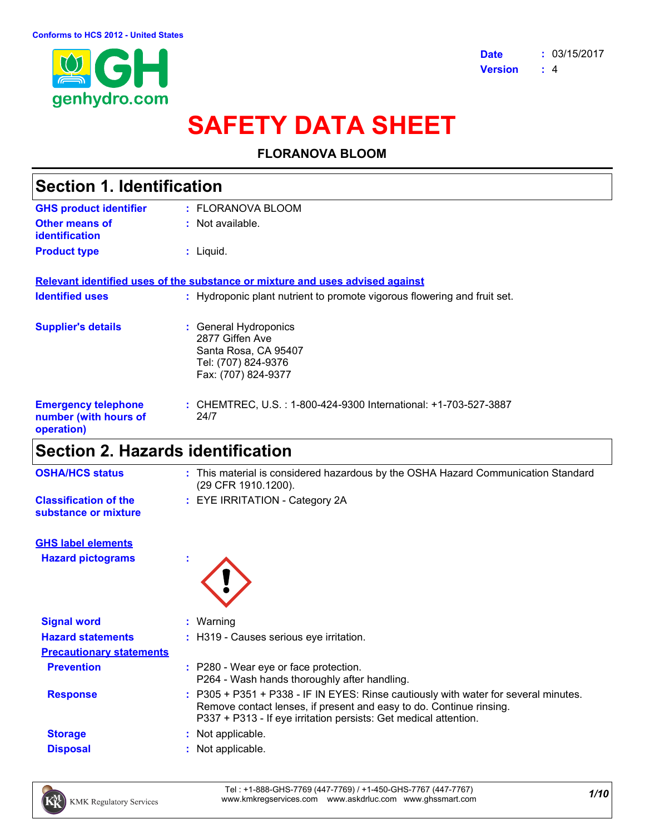

# **SAFETY DATA SHEET**

### **FLORANOVA BLOOM**

| <b>Section 1. Identification</b>                                  |                                                                                                                |  |
|-------------------------------------------------------------------|----------------------------------------------------------------------------------------------------------------|--|
| <b>GHS product identifier</b>                                     | : FLORANOVA BLOOM                                                                                              |  |
| Other means of<br><b>identification</b>                           | $:$ Not available.                                                                                             |  |
| <b>Product type</b>                                               | : Liquid.                                                                                                      |  |
|                                                                   | Relevant identified uses of the substance or mixture and uses advised against                                  |  |
| <b>Identified uses</b>                                            | : Hydroponic plant nutrient to promote vigorous flowering and fruit set.                                       |  |
| <b>Supplier's details</b>                                         | : General Hydroponics<br>2877 Giffen Ave<br>Santa Rosa, CA 95407<br>Tel: (707) 824-9376<br>Fax: (707) 824-9377 |  |
| <b>Emergency telephone</b><br>number (with hours of<br>operation) | : CHEMTREC, U.S. : 1-800-424-9300 International: +1-703-527-3887<br>24/7                                       |  |

# **Section 2. Hazards identification**

| <b>OSHA/HCS status</b>                               | : This material is considered hazardous by the OSHA Hazard Communication Standard<br>(29 CFR 1910.1200). |
|------------------------------------------------------|----------------------------------------------------------------------------------------------------------|
| <b>Classification of the</b><br>substance or mixture | : EYE IRRITATION - Category 2A                                                                           |
| <b>GHS label elements</b>                            |                                                                                                          |
| <b>Hazard pictograms</b>                             |                                                                                                          |
| <b>Signal word</b>                                   | $:$ Warning                                                                                              |
| <b>Hazard statements</b>                             | : H319 - Causes serious eye irritation.                                                                  |
| <b>Precautionary statements</b>                      |                                                                                                          |
| <b>Prevention</b>                                    | : P280 - Wear eye or face protection.<br>P264 - Wash hands thoroughly after handling.                    |

**Response :** P305 + P351 + P338 - IF IN EYES: Rinse cautiously with water for several minutes. Remove contact lenses, if present and easy to do. Continue rinsing. P337 + P313 - If eye irritation persists: Get medical attention.

- **Storage :** Not applicable.
- **Disposal :** Not applicable.

*1/10* Tel : +1-888-GHS-7769 (447-7769) / +1-450-GHS-7767 (447-7767) www.kmkregservices.com www.askdrluc.com www.ghssmart.com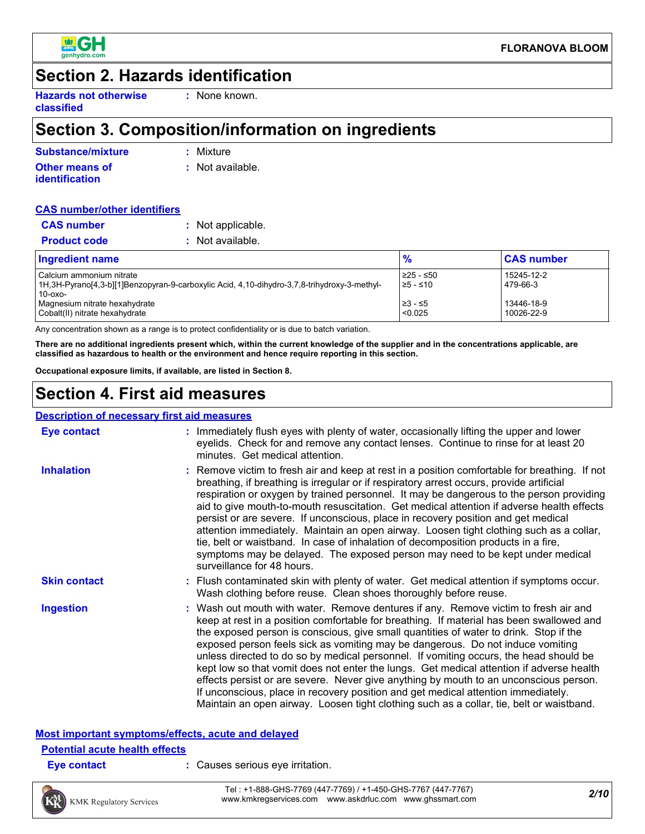

# **Section 2. Hazards identification**

**Hazards not otherwise classified**

**:** None known.

# **Section 3. Composition/information on ingredients**

| Substance/mixture     | : Mixture        |
|-----------------------|------------------|
| Other means of        | : Not available. |
| <i>identification</i> |                  |

#### **CAS number/other identifiers**

| <b>CAS</b> number   | : Not applicable. |
|---------------------|-------------------|
| <b>Product code</b> | : Not available.  |

| <b>Ingredient name</b>                                                                      | $\frac{9}{6}$      | <b>CAS number</b> |
|---------------------------------------------------------------------------------------------|--------------------|-------------------|
| Calcium ammonium nitrate                                                                    | 225 - ≤50          | 15245-12-2        |
| 1H,3H-Pyrano[4,3-b][1]Benzopyran-9-carboxylic Acid, 4,10-dihydro-3,7,8-trihydroxy-3-methyl- | $\ge$ 5 - $\le$ 10 | 479-66-3          |
| $10-0x$                                                                                     |                    |                   |
| Magnesium nitrate hexahydrate                                                               | ≥3 - ≤5            | 13446-18-9        |
| Cobalt(II) nitrate hexahydrate                                                              | < 0.025            | 10026-22-9        |

Any concentration shown as a range is to protect confidentiality or is due to batch variation.

**There are no additional ingredients present which, within the current knowledge of the supplier and in the concentrations applicable, are classified as hazardous to health or the environment and hence require reporting in this section.**

**Occupational exposure limits, if available, are listed in Section 8.**

# **Section 4. First aid measures**

#### **Description of necessary first aid measures**

| <b>Eye contact</b>  | : Immediately flush eyes with plenty of water, occasionally lifting the upper and lower<br>eyelids. Check for and remove any contact lenses. Continue to rinse for at least 20<br>minutes. Get medical attention.                                                                                                                                                                                                                                                                                                                                                                                                                                                                                                                                                                                                         |
|---------------------|---------------------------------------------------------------------------------------------------------------------------------------------------------------------------------------------------------------------------------------------------------------------------------------------------------------------------------------------------------------------------------------------------------------------------------------------------------------------------------------------------------------------------------------------------------------------------------------------------------------------------------------------------------------------------------------------------------------------------------------------------------------------------------------------------------------------------|
| <b>Inhalation</b>   | : Remove victim to fresh air and keep at rest in a position comfortable for breathing. If not<br>breathing, if breathing is irregular or if respiratory arrest occurs, provide artificial<br>respiration or oxygen by trained personnel. It may be dangerous to the person providing<br>aid to give mouth-to-mouth resuscitation. Get medical attention if adverse health effects<br>persist or are severe. If unconscious, place in recovery position and get medical<br>attention immediately. Maintain an open airway. Loosen tight clothing such as a collar,<br>tie, belt or waistband. In case of inhalation of decomposition products in a fire,<br>symptoms may be delayed. The exposed person may need to be kept under medical<br>surveillance for 48 hours.                                                    |
| <b>Skin contact</b> | : Flush contaminated skin with plenty of water. Get medical attention if symptoms occur.<br>Wash clothing before reuse. Clean shoes thoroughly before reuse.                                                                                                                                                                                                                                                                                                                                                                                                                                                                                                                                                                                                                                                              |
| <b>Ingestion</b>    | : Wash out mouth with water. Remove dentures if any. Remove victim to fresh air and<br>keep at rest in a position comfortable for breathing. If material has been swallowed and<br>the exposed person is conscious, give small quantities of water to drink. Stop if the<br>exposed person feels sick as vomiting may be dangerous. Do not induce vomiting<br>unless directed to do so by medical personnel. If vomiting occurs, the head should be<br>kept low so that vomit does not enter the lungs. Get medical attention if adverse health<br>effects persist or are severe. Never give anything by mouth to an unconscious person.<br>If unconscious, place in recovery position and get medical attention immediately.<br>Maintain an open airway. Loosen tight clothing such as a collar, tie, belt or waistband. |

#### **Most important symptoms/effects, acute and delayed Potential acute health effects**

| : Causes serious eye irritation.<br><b>Eye contact</b> |  |
|--------------------------------------------------------|--|
|--------------------------------------------------------|--|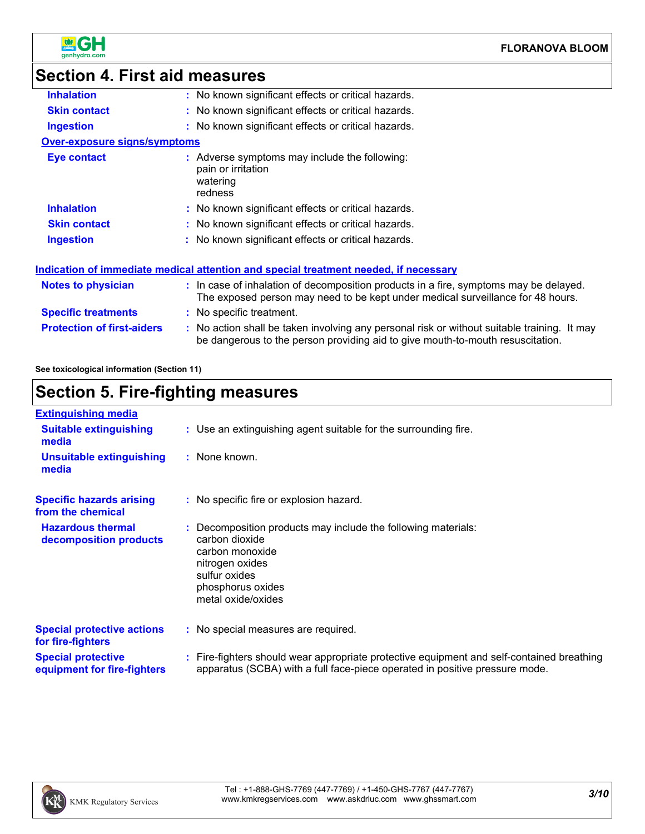

# **Section 4. First aid measures**

| <b>Inhalation</b>                   | : No known significant effects or critical hazards.                                                                                                                           |
|-------------------------------------|-------------------------------------------------------------------------------------------------------------------------------------------------------------------------------|
| <b>Skin contact</b>                 | : No known significant effects or critical hazards.                                                                                                                           |
| <b>Ingestion</b>                    | : No known significant effects or critical hazards.                                                                                                                           |
| <b>Over-exposure signs/symptoms</b> |                                                                                                                                                                               |
| Eye contact                         | : Adverse symptoms may include the following:<br>pain or irritation<br>watering<br>redness                                                                                    |
| <b>Inhalation</b>                   | : No known significant effects or critical hazards.                                                                                                                           |
| <b>Skin contact</b>                 | : No known significant effects or critical hazards.                                                                                                                           |
| <b>Ingestion</b>                    | : No known significant effects or critical hazards.                                                                                                                           |
|                                     | Indication of immediate medical attention and special treatment needed, if necessary                                                                                          |
| <b>Notes to physician</b>           | : In case of inhalation of decomposition products in a fire, symptoms may be delayed.<br>The exposed person may need to be kept under medical surveillance for 48 hours.      |
| <b>Specific treatments</b>          | : No specific treatment.                                                                                                                                                      |
| <b>Protection of first-aiders</b>   | : No action shall be taken involving any personal risk or without suitable training. It may<br>be dangerous to the person providing aid to give mouth-to-mouth resuscitation. |

**See toxicological information (Section 11)**

# **Section 5. Fire-fighting measures**

| <b>Extinguishing media</b>                               |                                                                                                                                                                                   |
|----------------------------------------------------------|-----------------------------------------------------------------------------------------------------------------------------------------------------------------------------------|
| <b>Suitable extinguishing</b><br>media                   | : Use an extinguishing agent suitable for the surrounding fire.                                                                                                                   |
| <b>Unsuitable extinguishing</b><br>media                 | : None known.                                                                                                                                                                     |
| <b>Specific hazards arising</b><br>from the chemical     | : No specific fire or explosion hazard.                                                                                                                                           |
| <b>Hazardous thermal</b><br>decomposition products       | : Decomposition products may include the following materials:<br>carbon dioxide<br>carbon monoxide<br>nitrogen oxides<br>sulfur oxides<br>phosphorus oxides<br>metal oxide/oxides |
| <b>Special protective actions</b><br>for fire-fighters   | : No special measures are required.                                                                                                                                               |
| <b>Special protective</b><br>equipment for fire-fighters | : Fire-fighters should wear appropriate protective equipment and self-contained breathing<br>apparatus (SCBA) with a full face-piece operated in positive pressure mode.          |

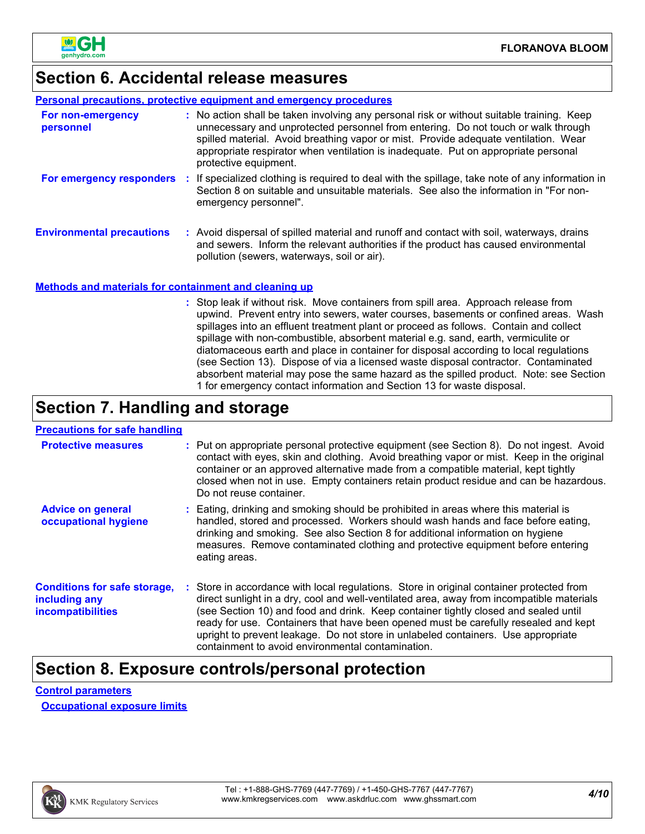

# **Section 6. Accidental release measures**

#### **Personal precautions, protective equipment and emergency procedures**

| For non-emergency<br>personnel                        | : No action shall be taken involving any personal risk or without suitable training. Keep<br>unnecessary and unprotected personnel from entering. Do not touch or walk through<br>spilled material. Avoid breathing vapor or mist. Provide adequate ventilation. Wear<br>appropriate respirator when ventilation is inadequate. Put on appropriate personal<br>protective equipment. |
|-------------------------------------------------------|--------------------------------------------------------------------------------------------------------------------------------------------------------------------------------------------------------------------------------------------------------------------------------------------------------------------------------------------------------------------------------------|
| For emergency responders                              | If specialized clothing is required to deal with the spillage, take note of any information in<br>Section 8 on suitable and unsuitable materials. See also the information in "For non-<br>emergency personnel".                                                                                                                                                                     |
| <b>Environmental precautions</b>                      | : Avoid dispersal of spilled material and runoff and contact with soil, waterways, drains<br>and sewers. Inform the relevant authorities if the product has caused environmental<br>pollution (sewers, waterways, soil or air).                                                                                                                                                      |
| Mothode and materials for containment and cleaning up |                                                                                                                                                                                                                                                                                                                                                                                      |

#### **Methods and materials for containment and cleaning up**

Stop leak if without risk. Move containers from spill area. Approach release from **:** upwind. Prevent entry into sewers, water courses, basements or confined areas. Wash spillages into an effluent treatment plant or proceed as follows. Contain and collect spillage with non-combustible, absorbent material e.g. sand, earth, vermiculite or diatomaceous earth and place in container for disposal according to local regulations (see Section 13). Dispose of via a licensed waste disposal contractor. Contaminated absorbent material may pose the same hazard as the spilled product. Note: see Section 1 for emergency contact information and Section 13 for waste disposal.

### **Section 7. Handling and storage**

#### **Precautions for safe handling**

| <b>Protective measures</b>                                                | : Put on appropriate personal protective equipment (see Section 8). Do not ingest. Avoid<br>contact with eyes, skin and clothing. Avoid breathing vapor or mist. Keep in the original<br>container or an approved alternative made from a compatible material, kept tightly<br>closed when not in use. Empty containers retain product residue and can be hazardous.<br>Do not reuse container.                                                                                                               |
|---------------------------------------------------------------------------|---------------------------------------------------------------------------------------------------------------------------------------------------------------------------------------------------------------------------------------------------------------------------------------------------------------------------------------------------------------------------------------------------------------------------------------------------------------------------------------------------------------|
| <b>Advice on general</b><br>occupational hygiene                          | Eating, drinking and smoking should be prohibited in areas where this material is<br>handled, stored and processed. Workers should wash hands and face before eating,<br>drinking and smoking. See also Section 8 for additional information on hygiene<br>measures. Remove contaminated clothing and protective equipment before entering<br>eating areas.                                                                                                                                                   |
| <b>Conditions for safe storage,</b><br>including any<br>incompatibilities | : Store in accordance with local regulations. Store in original container protected from<br>direct sunlight in a dry, cool and well-ventilated area, away from incompatible materials<br>(see Section 10) and food and drink. Keep container tightly closed and sealed until<br>ready for use. Containers that have been opened must be carefully resealed and kept<br>upright to prevent leakage. Do not store in unlabeled containers. Use appropriate<br>containment to avoid environmental contamination. |

### **Section 8. Exposure controls/personal protection**

#### **Control parameters**

**Occupational exposure limits**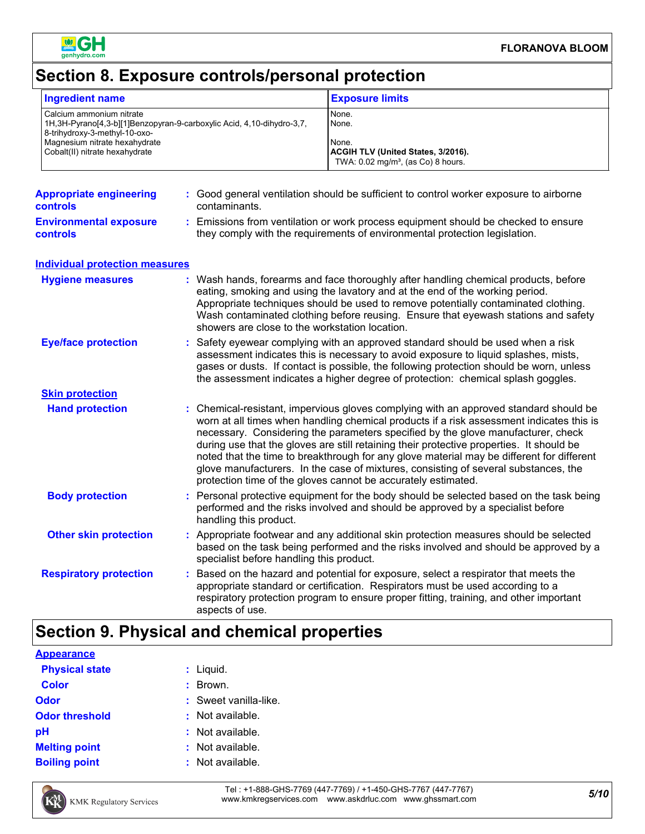

# **Section 8. Exposure controls/personal protection**

| <b>Ingredient name</b>                                                                                                                                                                                     |  |                                                                                                                                                                                                                                                                                                                                                                                                                                                                                                                                                                                                                        | <b>Exposure limits</b>                                                                                                                                                                                                                                           |
|------------------------------------------------------------------------------------------------------------------------------------------------------------------------------------------------------------|--|------------------------------------------------------------------------------------------------------------------------------------------------------------------------------------------------------------------------------------------------------------------------------------------------------------------------------------------------------------------------------------------------------------------------------------------------------------------------------------------------------------------------------------------------------------------------------------------------------------------------|------------------------------------------------------------------------------------------------------------------------------------------------------------------------------------------------------------------------------------------------------------------|
| Calcium ammonium nitrate<br>1H, 3H-Pyrano[4, 3-b][1] Benzopyran-9-carboxylic Acid, 4, 10-dihydro-3, 7,<br>8-trihydroxy-3-methyl-10-oxo-<br>Magnesium nitrate hexahydrate<br>Cobalt(II) nitrate hexahydrate |  |                                                                                                                                                                                                                                                                                                                                                                                                                                                                                                                                                                                                                        | None.<br>None.<br>None.<br>ACGIH TLV (United States, 3/2016).<br>TWA: 0.02 mg/m <sup>3</sup> , (as Co) 8 hours.                                                                                                                                                  |
| <b>Appropriate engineering</b><br><b>controls</b>                                                                                                                                                          |  | : Good general ventilation should be sufficient to control worker exposure to airborne<br>contaminants.                                                                                                                                                                                                                                                                                                                                                                                                                                                                                                                |                                                                                                                                                                                                                                                                  |
| <b>Environmental exposure</b><br><b>controls</b>                                                                                                                                                           |  |                                                                                                                                                                                                                                                                                                                                                                                                                                                                                                                                                                                                                        | : Emissions from ventilation or work process equipment should be checked to ensure<br>they comply with the requirements of environmental protection legislation.                                                                                                 |
| <b>Individual protection measures</b>                                                                                                                                                                      |  |                                                                                                                                                                                                                                                                                                                                                                                                                                                                                                                                                                                                                        |                                                                                                                                                                                                                                                                  |
| <b>Hygiene measures</b>                                                                                                                                                                                    |  | : Wash hands, forearms and face thoroughly after handling chemical products, before<br>eating, smoking and using the lavatory and at the end of the working period.<br>Appropriate techniques should be used to remove potentially contaminated clothing.<br>Wash contaminated clothing before reusing. Ensure that eyewash stations and safety<br>showers are close to the workstation location.                                                                                                                                                                                                                      |                                                                                                                                                                                                                                                                  |
| <b>Eye/face protection</b>                                                                                                                                                                                 |  | Safety eyewear complying with an approved standard should be used when a risk<br>assessment indicates this is necessary to avoid exposure to liquid splashes, mists,<br>gases or dusts. If contact is possible, the following protection should be worn, unless<br>the assessment indicates a higher degree of protection: chemical splash goggles.                                                                                                                                                                                                                                                                    |                                                                                                                                                                                                                                                                  |
| <b>Skin protection</b>                                                                                                                                                                                     |  |                                                                                                                                                                                                                                                                                                                                                                                                                                                                                                                                                                                                                        |                                                                                                                                                                                                                                                                  |
| <b>Hand protection</b>                                                                                                                                                                                     |  | : Chemical-resistant, impervious gloves complying with an approved standard should be<br>worn at all times when handling chemical products if a risk assessment indicates this is<br>necessary. Considering the parameters specified by the glove manufacturer, check<br>during use that the gloves are still retaining their protective properties. It should be<br>noted that the time to breakthrough for any glove material may be different for different<br>glove manufacturers. In the case of mixtures, consisting of several substances, the<br>protection time of the gloves cannot be accurately estimated. |                                                                                                                                                                                                                                                                  |
| <b>Body protection</b>                                                                                                                                                                                     |  | : Personal protective equipment for the body should be selected based on the task being<br>performed and the risks involved and should be approved by a specialist before<br>handling this product.                                                                                                                                                                                                                                                                                                                                                                                                                    |                                                                                                                                                                                                                                                                  |
| <b>Other skin protection</b>                                                                                                                                                                               |  | specialist before handling this product.                                                                                                                                                                                                                                                                                                                                                                                                                                                                                                                                                                               | : Appropriate footwear and any additional skin protection measures should be selected<br>based on the task being performed and the risks involved and should be approved by a                                                                                    |
| <b>Respiratory protection</b>                                                                                                                                                                              |  | aspects of use.                                                                                                                                                                                                                                                                                                                                                                                                                                                                                                                                                                                                        | : Based on the hazard and potential for exposure, select a respirator that meets the<br>appropriate standard or certification. Respirators must be used according to a<br>respiratory protection program to ensure proper fitting, training, and other important |

# **Section 9. Physical and chemical properties**

| <b>Appearance</b>     |                         |
|-----------------------|-------------------------|
| <b>Physical state</b> | : Liquid.               |
| <b>Color</b>          | : Brown.                |
| Odor                  | $:$ Sweet vanilla-like. |
| <b>Odor threshold</b> | : Not available.        |
| рH                    | $:$ Not available.      |
| <b>Melting point</b>  | $:$ Not available.      |
| <b>Boiling point</b>  | : Not available.        |



*5/10* Tel : +1-888-GHS-7769 (447-7769) / +1-450-GHS-7767 (447-7767) www.kmkregservices.com www.askdrluc.com www.ghssmart.com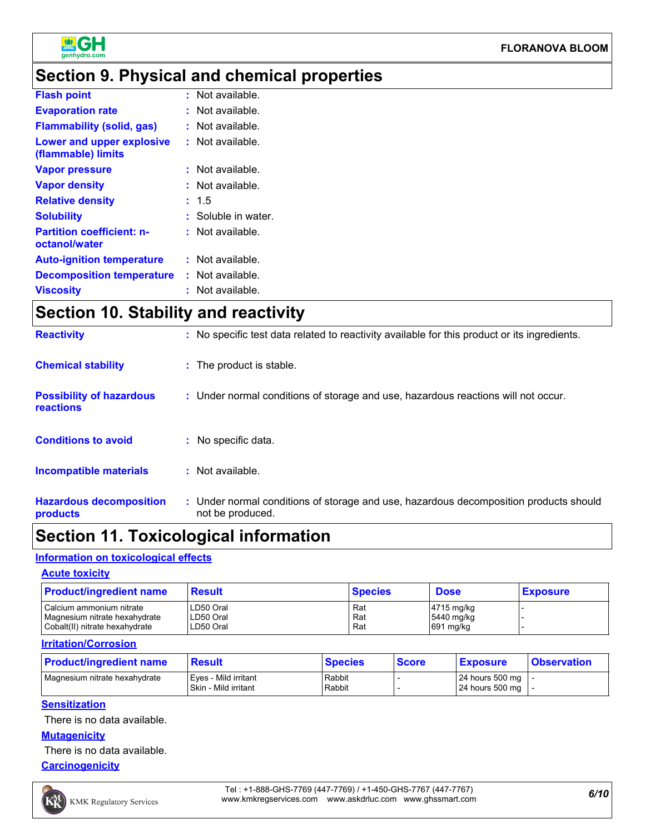

# **Section 9. Physical and chemical properties**

| <b>Flash point</b>                                | Not available.<br>t. |
|---------------------------------------------------|----------------------|
| <b>Evaporation rate</b>                           | Not available.<br>t. |
| <b>Flammability (solid, gas)</b>                  | Not available.       |
| Lower and upper explosive<br>(flammable) limits   | Not available.<br>t. |
| <b>Vapor pressure</b>                             | Not available.<br>t. |
| <b>Vapor density</b>                              | Not available.       |
| <b>Relative density</b>                           | : 1.5                |
| <b>Solubility</b>                                 | Soluble in water.    |
| <b>Partition coefficient: n-</b><br>octanol/water | Not available.       |
| <b>Auto-ignition temperature</b>                  | : Not available.     |
| <b>Decomposition temperature</b>                  | : Not available.     |
| <b>Viscosity</b>                                  | Not available.       |

# **Section 10. Stability and reactivity**

| <b>Reactivity</b>                                   | : No specific test data related to reactivity available for this product or its ingredients.              |
|-----------------------------------------------------|-----------------------------------------------------------------------------------------------------------|
| <b>Chemical stability</b>                           | : The product is stable.                                                                                  |
| <b>Possibility of hazardous</b><br><b>reactions</b> | : Under normal conditions of storage and use, hazardous reactions will not occur.                         |
| <b>Conditions to avoid</b>                          | : No specific data.                                                                                       |
| <b>Incompatible materials</b>                       | $:$ Not available.                                                                                        |
| <b>Hazardous decomposition</b><br>products          | : Under normal conditions of storage and use, hazardous decomposition products should<br>not be produced. |

# **Section 11. Toxicological information**

#### **Information on toxicological effects**

#### **Acute toxicity**

| <b>Product/ingredient name</b> | Result    | <b>Species</b> | <b>Dose</b>            | <b>Exposure</b> |
|--------------------------------|-----------|----------------|------------------------|-----------------|
| Calcium ammonium nitrate       | LD50 Oral | Rat            | $ 4715 \text{ mg/kg} $ |                 |
| Magnesium nitrate hexahydrate  | LD50 Oral | Rat            | 5440 mg/kg             |                 |
| Cobalt(II) nitrate hexahydrate | LD50 Oral | Rat            | $691$ mg/kg            |                 |

#### **Irritation/Corrosion**

| <b>Product/ingredient name</b> | <b>Result</b>                                  | <b>Species</b>   | <b>Score</b> | <b>Exposure</b>                                        | <b>Observation</b> |
|--------------------------------|------------------------------------------------|------------------|--------------|--------------------------------------------------------|--------------------|
| Magnesium nitrate hexahydrate  | Eves - Mild irritant<br>I Skin - Mild irritant | Rabbit<br>Rabbit |              | 24 hours 500 mg $\vert$ -<br>24 hours 500 mg $\vert$ - |                    |

#### **Sensitization**

There is no data available.

#### **Mutagenicity**

There is no data available.

#### **Carcinogenicity**

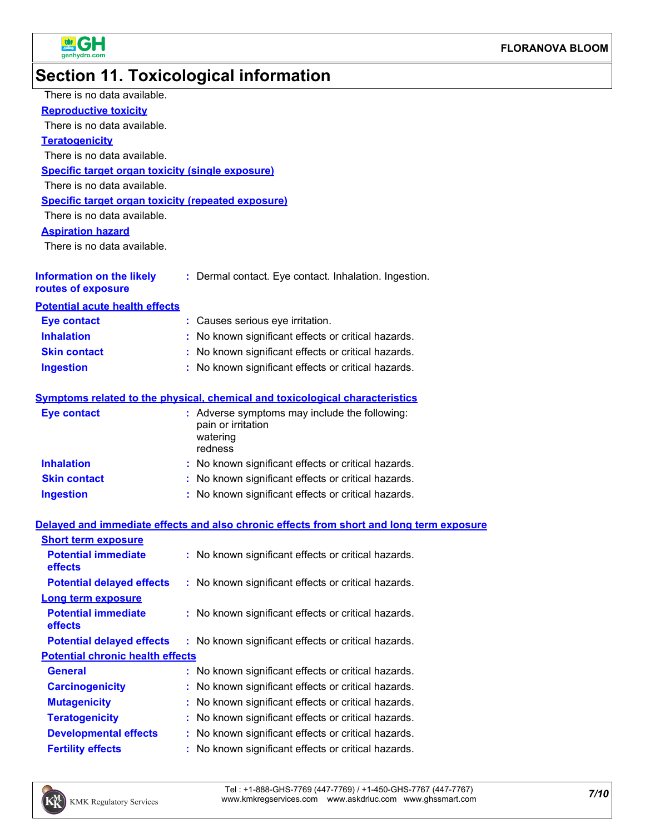

# **Section 11. Toxicological information**

| There is no data available.                               |                                                                                            |
|-----------------------------------------------------------|--------------------------------------------------------------------------------------------|
| <b>Reproductive toxicity</b>                              |                                                                                            |
| There is no data available.                               |                                                                                            |
| <b>Teratogenicity</b>                                     |                                                                                            |
| There is no data available.                               |                                                                                            |
| <b>Specific target organ toxicity (single exposure)</b>   |                                                                                            |
| There is no data available.                               |                                                                                            |
| <b>Specific target organ toxicity (repeated exposure)</b> |                                                                                            |
| There is no data available.                               |                                                                                            |
| <b>Aspiration hazard</b>                                  |                                                                                            |
| There is no data available.                               |                                                                                            |
| <b>Information on the likely</b><br>routes of exposure    | : Dermal contact. Eye contact. Inhalation. Ingestion.                                      |
| <b>Potential acute health effects</b>                     |                                                                                            |
| <b>Eye contact</b>                                        | : Causes serious eye irritation.                                                           |
| <b>Inhalation</b>                                         | : No known significant effects or critical hazards.                                        |
| <b>Skin contact</b>                                       | : No known significant effects or critical hazards.                                        |
| <b>Ingestion</b>                                          | : No known significant effects or critical hazards.                                        |
|                                                           | <b>Symptoms related to the physical, chemical and toxicological characteristics</b>        |
|                                                           |                                                                                            |
| <b>Eye contact</b>                                        | : Adverse symptoms may include the following:<br>pain or irritation<br>watering<br>redness |
| <b>Inhalation</b>                                         | : No known significant effects or critical hazards.                                        |
| <b>Skin contact</b>                                       | : No known significant effects or critical hazards.                                        |
| <b>Ingestion</b>                                          | : No known significant effects or critical hazards.                                        |
|                                                           | Delayed and immediate effects and also chronic effects from short and long term exposure   |
| <b>Short term exposure</b>                                |                                                                                            |
| <b>Potential immediate</b><br>effects                     | : No known significant effects or critical hazards.                                        |
| <b>Potential delayed effects</b>                          | : No known significant effects or critical hazards.                                        |
| <b>Long term exposure</b>                                 |                                                                                            |
| <b>Potential immediate</b><br>effects                     | : No known significant effects or critical hazards.                                        |
| <b>Potential delayed effects</b>                          | : No known significant effects or critical hazards.                                        |
| <b>Potential chronic health effects</b>                   |                                                                                            |
| <b>General</b>                                            | No known significant effects or critical hazards.<br>t.                                    |
| <b>Carcinogenicity</b>                                    | No known significant effects or critical hazards.                                          |
| <b>Mutagenicity</b>                                       | No known significant effects or critical hazards.                                          |
| <b>Teratogenicity</b>                                     | No known significant effects or critical hazards.                                          |
| <b>Developmental effects</b>                              | No known significant effects or critical hazards.                                          |
| <b>Fertility effects</b>                                  | No known significant effects or critical hazards.                                          |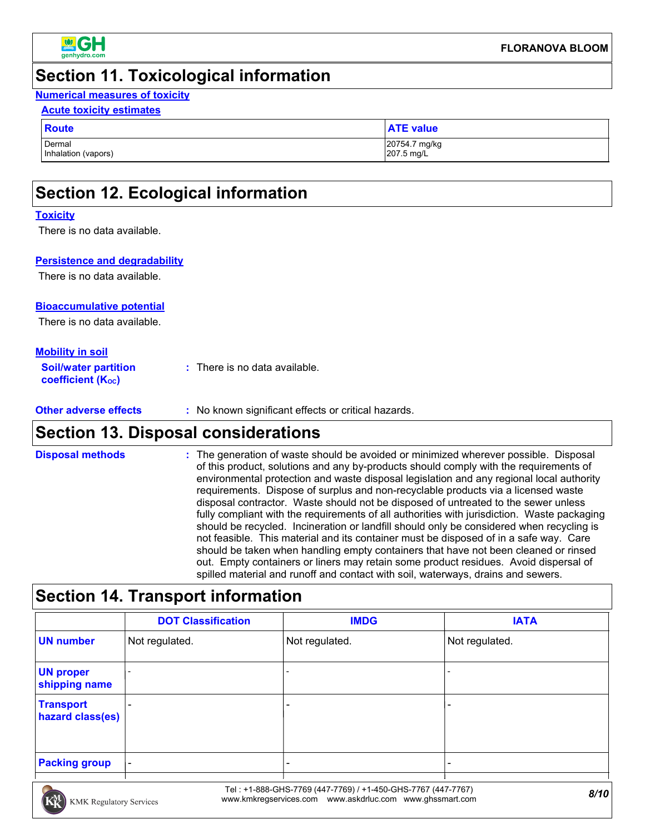

### **Section 11. Toxicological information**

#### **Numerical measures of toxicity**

#### **Acute toxicity estimates**

| <b>Route</b>        | <b>ATE value</b> |
|---------------------|------------------|
| Dermal              | 20754.7 mg/kg    |
| Inhalation (vapors) | 207.5 mg/L       |

# **Section 12. Ecological information**

#### **Toxicity**

There is no data available.

#### **Persistence and degradability**

There is no data available.

#### **Bioaccumulative potential**

There is no data available.

#### **Mobility in soil**

| <b>Soil/water partition</b> | $\therefore$ There is no data available. |
|-----------------------------|------------------------------------------|
| <b>coefficient (Koc)</b>    |                                          |

| Other adverse effects | No known significant effects or critical hazards. |
|-----------------------|---------------------------------------------------|
|-----------------------|---------------------------------------------------|

### **Section 13. Disposal considerations**

#### **Disposal methods :**

The generation of waste should be avoided or minimized wherever possible. Disposal of this product, solutions and any by-products should comply with the requirements of environmental protection and waste disposal legislation and any regional local authority requirements. Dispose of surplus and non-recyclable products via a licensed waste disposal contractor. Waste should not be disposed of untreated to the sewer unless fully compliant with the requirements of all authorities with jurisdiction. Waste packaging should be recycled. Incineration or landfill should only be considered when recycling is not feasible. This material and its container must be disposed of in a safe way. Care should be taken when handling empty containers that have not been cleaned or rinsed out. Empty containers or liners may retain some product residues. Avoid dispersal of spilled material and runoff and contact with soil, waterways, drains and sewers.

### **Section 14. Transport information**

|                                      | <b>DOT Classification</b> | <b>IMDG</b>    | <b>IATA</b>    |
|--------------------------------------|---------------------------|----------------|----------------|
| <b>UN number</b>                     | Not regulated.            | Not regulated. | Not regulated. |
| <b>UN proper</b><br>shipping name    |                           |                |                |
| <b>Transport</b><br>hazard class(es) |                           |                | -              |
| <b>Packing group</b>                 | $\overline{\phantom{a}}$  |                | -              |



*8/10* Tel : +1-888-GHS-7769 (447-7769) / +1-450-GHS-7767 (447-7767) www.kmkregservices.com www.askdrluc.com www.ghssmart.com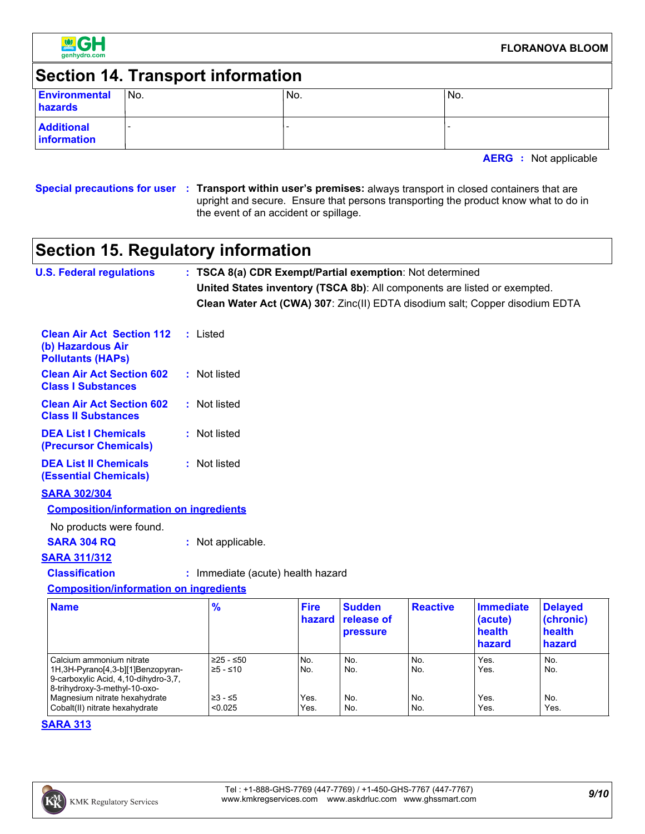

# **Section 14. Transport information**

| Environmental<br>hazards         | No. | IN <sub>o</sub> | 'No. |
|----------------------------------|-----|-----------------|------|
| <b>Additional</b><br>information |     |                 |      |

**AERG :** Not applicable

**Special precautions for user Transport within user's premises:** always transport in closed containers that are **:** upright and secure. Ensure that persons transporting the product know what to do in the event of an accident or spillage.

# **Section 15. Regulatory information**

| <b>U.S. Federal regulations</b>                                                                                                           | : TSCA 8(a) CDR Exempt/Partial exemption: Not determined                     |                       |                                                |                 |                                                 |                                                 |
|-------------------------------------------------------------------------------------------------------------------------------------------|------------------------------------------------------------------------------|-----------------------|------------------------------------------------|-----------------|-------------------------------------------------|-------------------------------------------------|
|                                                                                                                                           | United States inventory (TSCA 8b): All components are listed or exempted.    |                       |                                                |                 |                                                 |                                                 |
|                                                                                                                                           | Clean Water Act (CWA) 307: Zinc(II) EDTA disodium salt; Copper disodium EDTA |                       |                                                |                 |                                                 |                                                 |
| <b>Clean Air Act Section 112</b><br>(b) Hazardous Air<br><b>Pollutants (HAPs)</b>                                                         | : Listed                                                                     |                       |                                                |                 |                                                 |                                                 |
| <b>Clean Air Act Section 602</b><br><b>Class I Substances</b>                                                                             | : Not listed                                                                 |                       |                                                |                 |                                                 |                                                 |
| <b>Clean Air Act Section 602</b><br><b>Class II Substances</b>                                                                            | : Not listed                                                                 |                       |                                                |                 |                                                 |                                                 |
| <b>DEA List I Chemicals</b><br>(Precursor Chemicals)                                                                                      | : Not listed                                                                 |                       |                                                |                 |                                                 |                                                 |
| <b>DEA List II Chemicals</b><br><b>(Essential Chemicals)</b>                                                                              | : Not listed                                                                 |                       |                                                |                 |                                                 |                                                 |
| <b>SARA 302/304</b>                                                                                                                       |                                                                              |                       |                                                |                 |                                                 |                                                 |
| <b>Composition/information on ingredients</b>                                                                                             |                                                                              |                       |                                                |                 |                                                 |                                                 |
| No products were found.                                                                                                                   |                                                                              |                       |                                                |                 |                                                 |                                                 |
| <b>SARA 304 RQ</b>                                                                                                                        | : Not applicable.                                                            |                       |                                                |                 |                                                 |                                                 |
| <b>SARA 311/312</b>                                                                                                                       |                                                                              |                       |                                                |                 |                                                 |                                                 |
| <b>Classification</b>                                                                                                                     | : Immediate (acute) health hazard                                            |                       |                                                |                 |                                                 |                                                 |
| <b>Composition/information on ingredients</b>                                                                                             |                                                                              |                       |                                                |                 |                                                 |                                                 |
| <b>Name</b>                                                                                                                               | $\frac{9}{6}$                                                                | <b>Fire</b><br>hazard | <b>Sudden</b><br>release of<br><b>pressure</b> | <b>Reactive</b> | <b>Immediate</b><br>(acute)<br>health<br>hazard | <b>Delayed</b><br>(chronic)<br>health<br>hazard |
| Calcium ammonium nitrate<br>1H, 3H-Pyrano[4, 3-b][1] Benzopyran-<br>9-carboxylic Acid, 4,10-dihydro-3,7,<br>8-trihydroxy-3-methyl-10-oxo- | ≥25 - ≤50<br>≥5 - ≤10                                                        | No.<br>No.            | No.<br>No.                                     | No.<br>No.      | Yes.<br>Yes.                                    | No.<br>No.                                      |

#### **SARA 313**

Magnesium nitrate hexahydrate  $\begin{vmatrix} \geq 3 < 5 \\ 0.025 \end{vmatrix}$  Xes. No. No. No. Yes. No. Yes. No. Yes. No. Yes. Yes. Cobalt(II) nitrate hexahydrate  $\vert$  <0.025  $\vert$  Yes.  $\vert$  No. No. Yes. Yes. Yes.